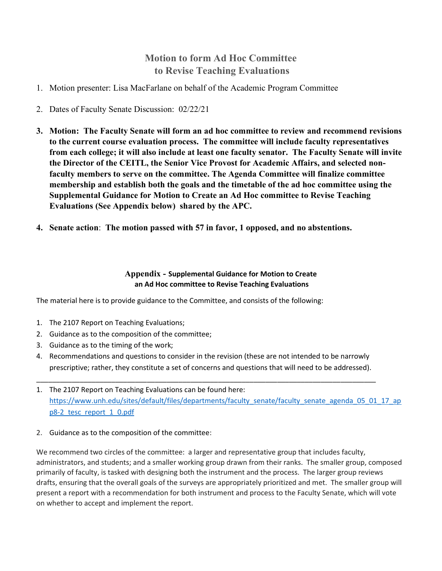## Motion to form Ad Hoc Committee to Revise Teaching Evaluations

- 1. Motion presenter: Lisa MacFarlane on behalf of the Academic Program Committee
- 2. Dates of Faculty Senate Discussion: 02/22/21
- 3. Motion: The Faculty Senate will form an ad hoc committee to review and recommend revisions to the current course evaluation process. The committee will include faculty representatives from each college; it will also include at least one faculty senator. The Faculty Senate will invite the Director of the CEITL, the Senior Vice Provost for Academic Affairs, and selected nonfaculty members to serve on the committee. The Agenda Committee will finalize committee membership and establish both the goals and the timetable of the ad hoc committee using the Supplemental Guidance for Motion to Create an Ad Hoc committee to Revise Teaching Evaluations (See Appendix below) shared by the APC.
- 4. Senate action: The motion passed with 57 in favor, 1 opposed, and no abstentions.

## Appendix - Supplemental Guidance for Motion to Create an Ad Hoc committee to Revise Teaching Evaluations

The material here is to provide guidance to the Committee, and consists of the following:

- 1. The 2107 Report on Teaching Evaluations;
- 2. Guidance as to the composition of the committee;
- 3. Guidance as to the timing of the work;
- 4. Recommendations and questions to consider in the revision (these are not intended to be narrowly prescriptive; rather, they constitute a set of concerns and questions that will need to be addressed).

\_\_\_\_\_\_\_\_\_\_\_\_\_\_\_\_\_\_\_\_\_\_\_\_\_\_\_\_\_\_\_\_\_\_\_\_\_\_\_\_\_\_\_\_\_\_\_\_\_\_\_\_\_\_\_\_\_\_\_\_\_\_\_\_\_\_\_\_\_\_\_\_\_\_\_\_\_\_\_\_\_\_\_\_\_\_

- 1. The 2107 Report on Teaching Evaluations can be found here: https://www.unh.edu/sites/default/files/departments/faculty\_senate/faculty\_senate\_agenda\_05\_01\_17\_ap p8-2\_tesc\_report\_1\_0.pdf
- 2. Guidance as to the composition of the committee:

We recommend two circles of the committee: a larger and representative group that includes faculty, administrators, and students; and a smaller working group drawn from their ranks. The smaller group, composed primarily of faculty, is tasked with designing both the instrument and the process. The larger group reviews drafts, ensuring that the overall goals of the surveys are appropriately prioritized and met. The smaller group will present a report with a recommendation for both instrument and process to the Faculty Senate, which will vote on whether to accept and implement the report.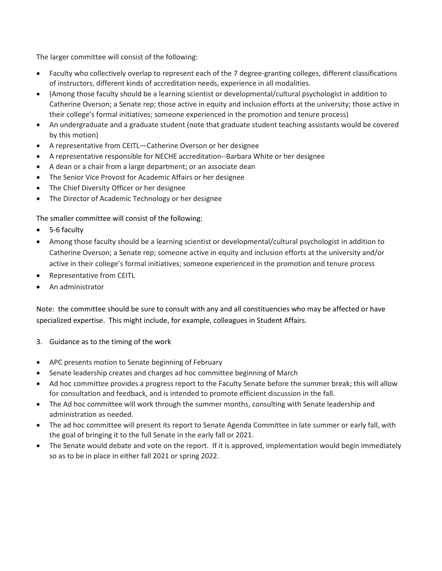The larger committee will consist of the following:

- Faculty who collectively overlap to represent each of the 7 degree-granting colleges, different classifications of instructors, different kinds of accreditation needs, experience in all modalities.
- (Among those faculty should be a learning scientist or developmental/cultural psychologist in addition to Catherine Overson; a Senate rep; those active in equity and inclusion efforts at the university; those active in their college's formal initiatives; someone experienced in the promotion and tenure process)
- An undergraduate and a graduate student (note that graduate student teaching assistants would be covered by this motion)
- A representative from CEITL—Catherine Overson or her designee
- A representative responsible for NECHE accreditation--Barbara White or her designee
- A dean or a chair from a large department; or an associate dean
- The Senior Vice Provost for Academic Affairs or her designee
- The Chief Diversity Officer or her designee
- The Director of Academic Technology or her designee

The smaller committee will consist of the following:

- 5-6 faculty
- Among those faculty should be a learning scientist or developmental/cultural psychologist in addition to Catherine Overson; a Senate rep; someone active in equity and inclusion efforts at the university and/or active in their college's formal initiatives; someone experienced in the promotion and tenure process
- Representative from CEITL
- An administrator

Note: the committee should be sure to consult with any and all constituencies who may be affected or have specialized expertise. This might include, for example, colleagues in Student Affairs.

- 3. Guidance as to the timing of the work
- APC presents motion to Senate beginning of February
- Senate leadership creates and charges ad hoc committee beginning of March
- Ad hoc committee provides a progress report to the Faculty Senate before the summer break; this will allow for consultation and feedback, and is intended to promote efficient discussion in the fall.
- The Ad hoc committee will work through the summer months, consulting with Senate leadership and administration as needed.
- The ad hoc committee will present its report to Senate Agenda Committee in late summer or early fall, with the goal of bringing it to the full Senate in the early fall or 2021.
- The Senate would debate and vote on the report. If it is approved, implementation would begin immediately so as to be in place in either fall 2021 or spring 2022.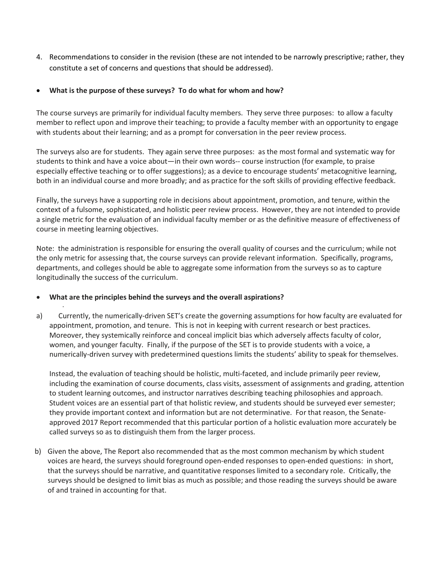4. Recommendations to consider in the revision (these are not intended to be narrowly prescriptive; rather, they constitute a set of concerns and questions that should be addressed).

## What is the purpose of these surveys? To do what for whom and how?

The course surveys are primarily for individual faculty members. They serve three purposes: to allow a faculty member to reflect upon and improve their teaching; to provide a faculty member with an opportunity to engage with students about their learning; and as a prompt for conversation in the peer review process.

The surveys also are for students. They again serve three purposes: as the most formal and systematic way for students to think and have a voice about—in their own words-- course instruction (for example, to praise especially effective teaching or to offer suggestions); as a device to encourage students' metacognitive learning, both in an individual course and more broadly; and as practice for the soft skills of providing effective feedback.

Finally, the surveys have a supporting role in decisions about appointment, promotion, and tenure, within the context of a fulsome, sophisticated, and holistic peer review process. However, they are not intended to provide a single metric for the evaluation of an individual faculty member or as the definitive measure of effectiveness of course in meeting learning objectives.

Note: the administration is responsible for ensuring the overall quality of courses and the curriculum; while not the only metric for assessing that, the course surveys can provide relevant information. Specifically, programs, departments, and colleges should be able to aggregate some information from the surveys so as to capture longitudinally the success of the curriculum.

## What are the principles behind the surveys and the overall aspirations?

·

a) Currently, the numerically-driven SET's create the governing assumptions for how faculty are evaluated for appointment, promotion, and tenure. This is not in keeping with current research or best practices. Moreover, they systemically reinforce and conceal implicit bias which adversely affects faculty of color, women, and younger faculty. Finally, if the purpose of the SET is to provide students with a voice, a numerically-driven survey with predetermined questions limits the students' ability to speak for themselves.

Instead, the evaluation of teaching should be holistic, multi-faceted, and include primarily peer review, including the examination of course documents, class visits, assessment of assignments and grading, attention to student learning outcomes, and instructor narratives describing teaching philosophies and approach. Student voices are an essential part of that holistic review, and students should be surveyed ever semester; they provide important context and information but are not determinative. For that reason, the Senateapproved 2017 Report recommended that this particular portion of a holistic evaluation more accurately be called surveys so as to distinguish them from the larger process.

b) Given the above, The Report also recommended that as the most common mechanism by which student voices are heard, the surveys should foreground open-ended responses to open-ended questions: in short, that the surveys should be narrative, and quantitative responses limited to a secondary role. Critically, the surveys should be designed to limit bias as much as possible; and those reading the surveys should be aware of and trained in accounting for that.